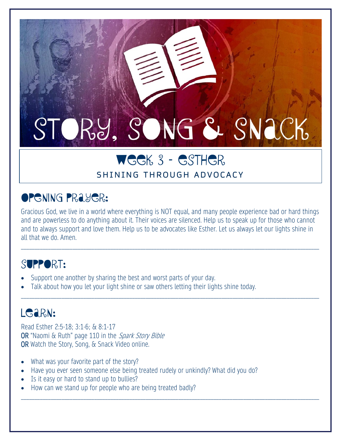# STORY, SONG & SNACK

## WEEK 3 – Esther

#### SHINING THROUGH ADVOCACY

## Opening Prayer:

Gracious God, we live in a world where everything is NOT equal, and many people experience bad or hard things and are powerless to do anything about it. Their voices are silenced. Help us to speak up for those who cannot and to always support and love them. Help us to be advocates like Esther. Let us always let our lights shine in all that we do. Amen.

\_\_\_\_\_\_\_\_\_\_\_\_\_\_\_\_\_\_\_\_\_\_\_\_\_\_\_\_\_\_\_\_\_\_\_\_\_\_\_\_\_\_\_\_\_\_\_\_\_\_\_\_\_\_\_\_\_\_\_\_\_\_\_\_\_\_\_\_\_\_\_\_\_\_\_\_\_\_\_\_\_\_\_\_\_\_\_\_\_\_\_\_\_\_\_\_\_\_\_\_\_\_\_\_\_\_\_\_\_\_

\_\_\_\_\_\_\_\_\_\_\_\_\_\_\_\_\_\_\_\_\_\_\_\_\_\_\_\_\_\_\_\_\_\_\_\_\_\_\_\_\_\_\_\_\_\_\_\_\_\_\_\_\_\_\_\_\_\_\_\_\_\_\_\_\_\_\_\_\_\_\_\_\_\_\_\_\_\_\_\_\_\_\_\_\_\_\_\_\_\_\_\_\_\_\_\_\_\_\_\_\_\_\_\_\_\_\_\_\_\_

\_\_\_\_\_\_\_\_\_\_\_\_\_\_\_\_\_\_\_\_\_\_\_\_\_\_\_\_\_\_\_\_\_\_\_\_\_\_\_\_\_\_\_\_\_\_\_\_\_\_\_\_\_\_\_\_\_\_\_\_\_\_\_\_\_\_\_\_\_\_\_\_\_\_\_\_\_\_\_\_\_\_\_\_\_\_\_\_\_\_\_\_\_\_\_\_\_\_\_\_\_\_\_\_\_\_\_\_\_\_

#### SUPPORT:

- Support one another by sharing the best and worst parts of your day.
- Talk about how you let your light shine or saw others letting their lights shine today.

## LGARN:

Read Esther 2:5-18; 3:1-6; & 8:1-17 OR "Naomi & Ruth" page 110 in the Spark Story Bible OR Watch the Story, Song, & Snack Video online.

- What was your favorite part of the story?
- Have you ever seen someone else being treated rudely or unkindly? What did you do?
- Is it easy or hard to stand up to bullies?
- How can we stand up for people who are being treated badly?